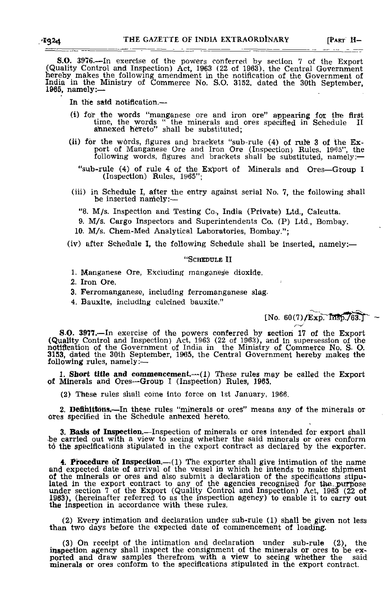S.O. 3976.—In exercise of the powers conferred by section 7 of the Export (Quality Control and Inspection) Act, 1963 (22 of 1963), the Central Government<br>hereby makes the following amendment in the notification of the Government of<br>India in the Ministry of Commerce No. S.O. 3152, dated the 30th 1965, namely:—

In the said notification.—

- (i) for the words "manganese ore and iron ore" appearing for the first time, the words " the minerals and ores specified in Schedule II annexed hereto" shall be substituted;
- (Ji) for the wbrds, figures and brackets "sub-rule (4) of rate 3 of the Export of Manganese Ore and Iron Ore (Inspection) Rules, 1965", the following words, figures and brackets shall be substituted, namely:—
	- "sub-rule (4) of rule 4 of the Export of Minerals and Ores—Group I (Inspection) Rules, 1965'
- (iii) in Schedule I, after the entry against serial No. 7, the following shall be inserted namely:—
	- "8. M/s. Inspection and Testing Co-, India (Private) Ltd., Calcutta.
	- 9. M/s. Cargo Inspectors and Superintendents Co. (P) Ltd,, Bombay.
- 10. M/s. Chem-Med Analytical Laboratories, Bombay.";
- (iv) after Schedule I, the following Schedule shall be inserted, namely:—

## "SCHEDULE II

- 1. Manganese Ore, Excluding manganese dioxide.
- 2. Iron Ore,
- 3. Ferromanganese, including ferromanganese slag.
- 4. Bauxite, including calcined bauxite."

 $[No. 60(7)/Exp.$  Insp./63.1

**S.O. 3977.—In exercise of the powers conferred by section 17 of the Export (Quality Control and Inspection)** Act, 1963 (22 of 1963), and in supersession of the notification of the Government of India in the Ministry of C following rules, namely:-

1. **Short title and commencement.**—(1) These rules may be called the Export of Minerals and Ores—Group I (Inspection) Rules, 1965.

(2) These rules shall come into force on 1st January, 1966.

2. **Deflfalttoils.**—In these rules "minerals or ores" means any of the minerals or ores specified in the Schedule annexed hereto.

3. **Basis of Inspection.**—Inspection of minerals or ores intended for export shall be carried out with a view to seeing whether the said minerals or ores conform td the specifications stipulated in the export contract as declared by the exporter.

**4. Procedure of Inspection.**—**(l)** The exporter shall give intimation of the name and expected date of arrival of the vessel in which he intends to make shipment of the minerals or ores and also submit a declaration of the specifications stipu-<br>lated in the export contract to any of the agencies recognised for the purpose<br>under section 7 of the Export (Quality Control and Inspectio

(2) Every intimation and declaration under sub-rule (1) shall be given not less than two days before the expected date of commencement of loading.

(3) On receipt of the intimation and declaration under sub-rule (2), the inspection agency shall inspect the consignment of the minerals or ores to be exported and draw samples therefrom with a view to seeing whether the said minerals or ores conform to the specifications stipulated in the expo